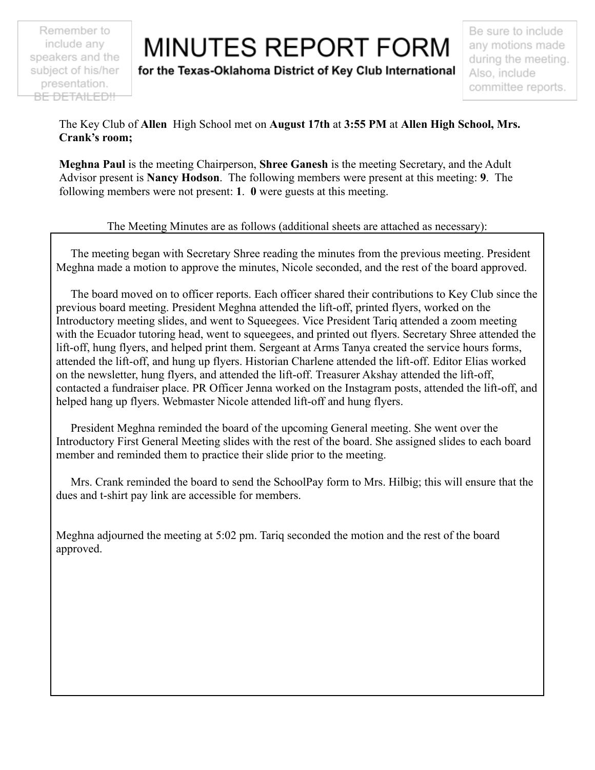Remember to include any speakers and the subject of his/her presentation. BE DETAILED!!

## **MINUTES REPORT FORM**

for the Texas-Oklahoma District of Key Club International

Be sure to include any motions made during the meeting. Also, include committee reports.

The Key Club of **Allen** High School met on **August 17th** at **3:55 PM** at **Allen High School, Mrs. Crank's room;**

**Meghna Paul** is the meeting Chairperson, **Shree Ganesh** is the meeting Secretary, and the Adult Advisor present is **Nancy Hodson**. The following members were present at this meeting: **9**. The following members were not present: **1**. **0** were guests at this meeting.

## The Meeting Minutes are as follows (additional sheets are attached as necessary):

The meeting began with Secretary Shree reading the minutes from the previous meeting. President Meghna made a motion to approve the minutes, Nicole seconded, and the rest of the board approved.

The board moved on to officer reports. Each officer shared their contributions to Key Club since the previous board meeting. President Meghna attended the lift-off, printed flyers, worked on the Introductory meeting slides, and went to Squeegees. Vice President Tariq attended a zoom meeting with the Ecuador tutoring head, went to squeegees, and printed out flyers. Secretary Shree attended the lift-off, hung flyers, and helped print them. Sergeant at Arms Tanya created the service hours forms, attended the lift-off, and hung up flyers. Historian Charlene attended the lift-off. Editor Elias worked on the newsletter, hung flyers, and attended the lift-off. Treasurer Akshay attended the lift-off, contacted a fundraiser place. PR Officer Jenna worked on the Instagram posts, attended the lift-off, and helped hang up flyers. Webmaster Nicole attended lift-off and hung flyers.

President Meghna reminded the board of the upcoming General meeting. She went over the Introductory First General Meeting slides with the rest of the board. She assigned slides to each board member and reminded them to practice their slide prior to the meeting.

Mrs. Crank reminded the board to send the SchoolPay form to Mrs. Hilbig; this will ensure that the dues and t-shirt pay link are accessible for members.

Meghna adjourned the meeting at 5:02 pm. Tariq seconded the motion and the rest of the board approved.